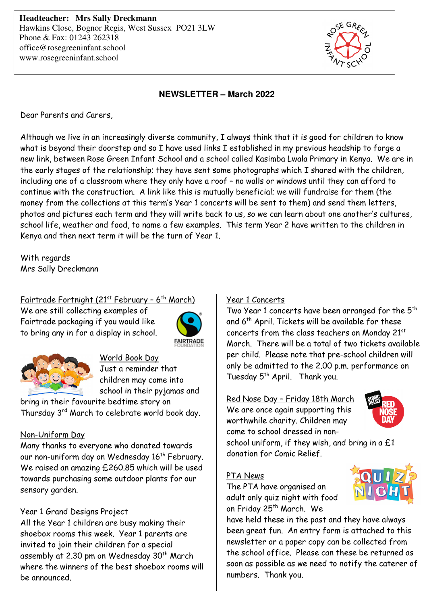**Headteacher: Mrs Sally Dreckmann** Hawkins Close, Bognor Regis, West Sussex PO21 3LW Phone & Fax: 01243 262318 office@rosegreeninfant.school www.rosegreeninfant.school



#### **NEWSLETTER – March 2022**

Dear Parents and Carers,

Although we live in an increasingly diverse community, I always think that it is good for children to know what is beyond their doorstep and so I have used links I established in my previous headship to forge a new link, between Rose Green Infant School and a school called Kasimba Lwala Primary in Kenya. We are in the early stages of the relationship; they have sent some photographs which I shared with the children, including one of a classroom where they only have a roof – no walls or windows until they can afford to continue with the construction. A link like this is mutually beneficial; we will fundraise for them (the money from the collections at this term's Year 1 concerts will be sent to them) and send them letters, photos and pictures each term and they will write back to us, so we can learn about one another's cultures, school life, weather and food, to name a few examples. This term Year 2 have written to the children in Kenya and then next term it will be the turn of Year 1.

With regards Mrs Sally Dreckmann

#### Fairtrade Fortnight ( $21<sup>st</sup>$  February - 6<sup>th</sup> March)

We are still collecting examples of Fairtrade packaging if you would like to bring any in for a display in school.





#### World Book Day

Just a reminder that children may come into school in their pyjamas and

bring in their favourite bedtime story on Thursday 3rd March to celebrate world book day.

#### Non-Uniform Day

Many thanks to everyone who donated towards our non-uniform day on Wednesday 16<sup>th</sup> February. We raised an amazing £260.85 which will be used towards purchasing some outdoor plants for our sensory garden.

#### Year 1 Grand Designs Project

All the Year 1 children are busy making their shoebox rooms this week. Year 1 parents are invited to join their children for a special assembly at 2.30 pm on Wednesday 30<sup>th</sup> March where the winners of the best shoebox rooms will be announced.

#### Year 1 Concerts

Two Year 1 concerts have been arranged for the 5<sup>th</sup> and 6<sup>th</sup> April. Tickets will be available for these concerts from the class teachers on Monday 21st March. There will be a total of two tickets available per child. Please note that pre-school children will only be admitted to the 2.00 p.m. performance on Tuesday 5<sup>th</sup> April. Thank you.

#### Red Nose Day – Friday 18th March

We are once again supporting this worthwhile charity. Children may come to school dressed in non-



school uniform, if they wish, and bring in a  $£1$ donation for Comic Relief.

#### PTA News

The PTA have organised an adult only quiz night with food on Friday 25<sup>th</sup> March. We

have held these in the past and they have always been great fun. An entry form is attached to this newsletter or a paper copy can be collected from the school office. Please can these be returned as soon as possible as we need to notify the caterer of numbers. Thank you.

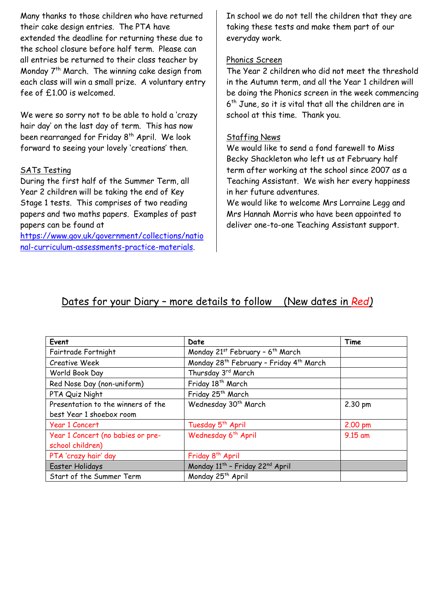Many thanks to those children who have returned their cake design entries. The PTA have extended the deadline for returning these due to the school closure before half term. Please can all entries be returned to their class teacher by Monday 7<sup>th</sup> March. The winning cake design from each class will win a small prize. A voluntary entry fee of £1.00 is welcomed.

We were so sorry not to be able to hold a 'crazy hair day' on the last day of term. This has now been rearranged for Friday 8<sup>th</sup> April. We look forward to seeing your lovely 'creations' then.

#### SATs Testing

During the first half of the Summer Term, all Year 2 children will be taking the end of Key Stage 1 tests. This comprises of two reading papers and two maths papers. Examples of past papers can be found at

https://www.gov.uk/government/collections/natio nal-curriculum-assessments-practice-materials.

In school we do not tell the children that they are taking these tests and make them part of our everyday work.

#### Phonics Screen

The Year 2 children who did not meet the threshold in the Autumn term, and all the Year 1 children will be doing the Phonics screen in the week commencing 6 th June, so it is vital that all the children are in school at this time. Thank you.

#### Staffing News

We would like to send a fond farewell to Miss Becky Shackleton who left us at February half term after working at the school since 2007 as a Teaching Assistant. We wish her every happiness in her future adventures.

We would like to welcome Mrs Lorraine Legg and Mrs Hannah Morris who have been appointed to deliver one-to-one Teaching Assistant support.

### Dates for your Diary – more details to follow (New dates in *Red)*

| Event                              | Date                                                            | Time      |
|------------------------------------|-----------------------------------------------------------------|-----------|
| Fairtrade Fortnight                | Monday 21st February - 6 <sup>th</sup> March                    |           |
| Creative Week                      | Monday 28 <sup>th</sup> February - Friday 4 <sup>th</sup> March |           |
| World Book Day                     | Thursday 3rd March                                              |           |
| Red Nose Day (non-uniform)         | Friday 18 <sup>th</sup> March                                   |           |
| PTA Quiz Night                     | Friday 25 <sup>th</sup> March                                   |           |
| Presentation to the winners of the | Wednesday 30 <sup>th</sup> March                                | 2.30 pm   |
| best Year 1 shoebox room           |                                                                 |           |
| <b>Year 1 Concert</b>              | Tuesday 5 <sup>th</sup> April                                   | $2.00$ pm |
| Year 1 Concert (no babies or pre-  | Wednesday 6 <sup>th</sup> April                                 | 9.15 am   |
| school children)                   |                                                                 |           |
| PTA 'crazy hair' day               | Friday 8 <sup>th</sup> April                                    |           |
| Easter Holidays                    | Monday 11th - Friday 22nd April                                 |           |
| Start of the Summer Term           | Monday 25 <sup>th</sup> April                                   |           |